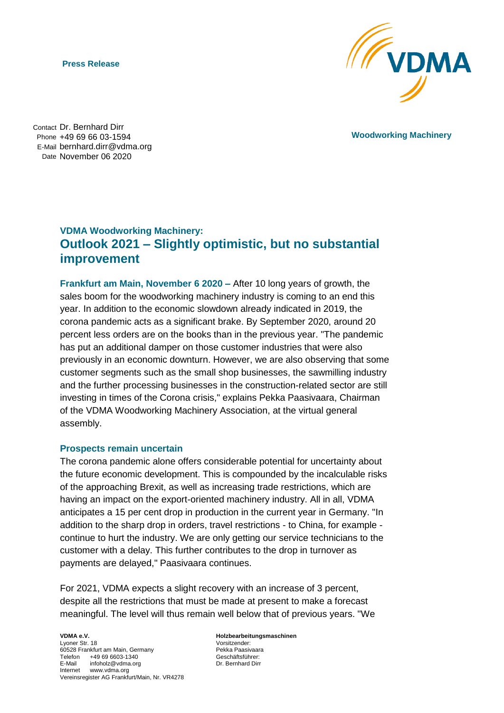**Press Release**



**Woodworking Machinery**

Contact Dr. Bernhard Dirr Phone +49 69 66 03-1594 E-Mail bernhard.dirr@vdma.org Date November 06 2020

## **VDMA Woodworking Machinery: Outlook 2021 – Slightly optimistic, but no substantial improvement**

**Frankfurt am Main, November 6 2020 –** After 10 long years of growth, the sales boom for the woodworking machinery industry is coming to an end this year. In addition to the economic slowdown already indicated in 2019, the corona pandemic acts as a significant brake. By September 2020, around 20 percent less orders are on the books than in the previous year. "The pandemic has put an additional damper on those customer industries that were also previously in an economic downturn. However, we are also observing that some customer segments such as the small shop businesses, the sawmilling industry and the further processing businesses in the construction-related sector are still investing in times of the Corona crisis," explains Pekka Paasivaara, Chairman of the VDMA Woodworking Machinery Association, at the virtual general assembly.

## **Prospects remain uncertain**

The corona pandemic alone offers considerable potential for uncertainty about the future economic development. This is compounded by the incalculable risks of the approaching Brexit, as well as increasing trade restrictions, which are having an impact on the export-oriented machinery industry. All in all, VDMA anticipates a 15 per cent drop in production in the current year in Germany. "In addition to the sharp drop in orders, travel restrictions - to China, for example continue to hurt the industry. We are only getting our service technicians to the customer with a delay. This further contributes to the drop in turnover as payments are delayed," Paasivaara continues.

For 2021, VDMA expects a slight recovery with an increase of 3 percent, despite all the restrictions that must be made at present to make a forecast meaningful. The level will thus remain well below that of previous years. "We

**VDMA e.V.** Lyoner Str. 18 60528 Frankfurt am Main, Germany Telefon +49 69 6603-1340 E-Mail infoholz@vdma.org Internet www.vdma.org Vereinsregister AG Frankfurt/Main, Nr. VR4278 **Holzbearbeitungsmaschinen** Vorsitzender: Pekka Paasivaara Geschäftsführer: Dr. Bernhard Dirr